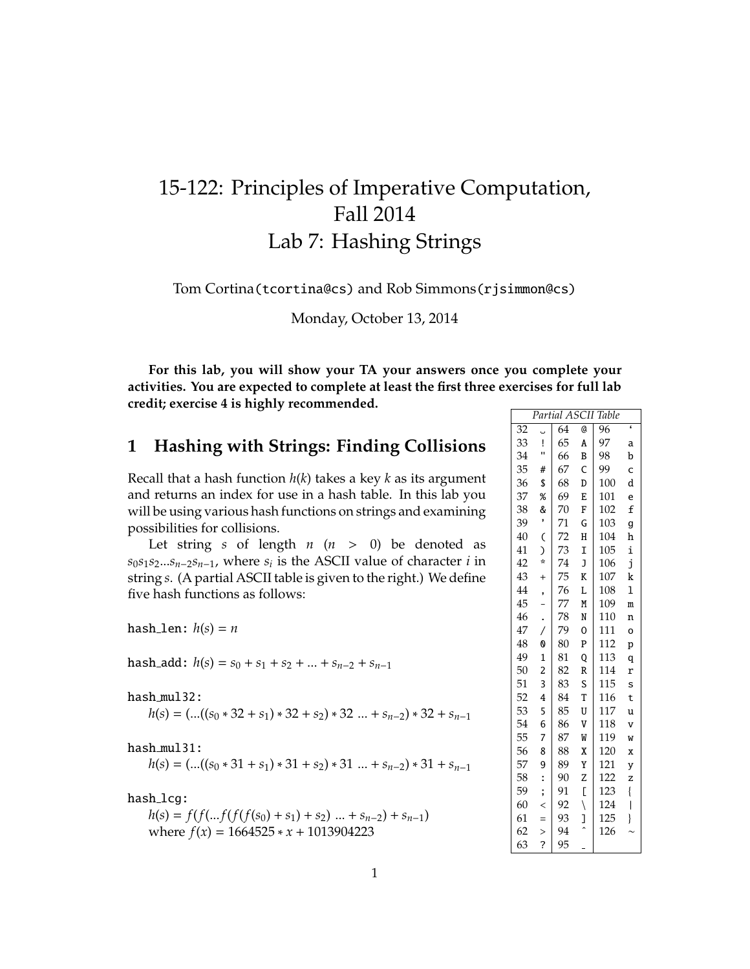## 15-122: Principles of Imperative Computation, Fall 2014 Lab 7: Hashing Strings

Tom Cortina(tcortina@cs) and Rob Simmons(rjsimmon@cs)

Monday, October 13, 2014

**For this lab, you will show your TA your answers once you complete your activities. You are expected to complete at least the first three exercises for full lab credit; exercise 4 is highly recommended.**

## **1 Hashing with Strings: Finding Collisions**

Recall that a hash function *h*(*k*) takes a key *k* as its argument and returns an index for use in a hash table. In this lab you will be using various hash functions on strings and examining possibilities for collisions.

Let string *s* of length  $n (n > 0)$  be denoted as *s*0*s*1*s*2...*sn*−2*sn*−1, where *s<sup>i</sup>* is the ASCII value of character *i* in string *s*. (A partial ASCII table is given to the right.) We define five hash functions as follows:

hash\_len:  $h(s) = n$ 

hash\_add:  $h(s) = s_0 + s_1 + s_2 + ... + s_{n-2} + s_{n-1}$ 

hash mul32:

 $h(s) =$  (...( $(s_0 * 32 + s_1) * 32 + s_2) * 32$  ... +  $s_{n-2}$ ) \* 32 +  $s_{n-1}$ 

hash mul31:

$$
h(s) = (...(s_0 * 31 + s_1) * 31 + s_2) * 31 ... + s_{n-2}) * 31 + s_{n-1}
$$

hash\_lcg:

 $h(s) = f(f(...f(f(f(s_0) + s_1) + s_2) ... + s_{n-2}) + s_{n-1})$ where  $f(x) = 1664525 \times x + 1013904223$ 

| Partial ASCII<br>Table |                          |    |              |     |                                |
|------------------------|--------------------------|----|--------------|-----|--------------------------------|
| 32                     |                          | 64 | @            | 96  | ć                              |
| 33                     | Ţ                        | 65 | A            | 97  | a                              |
| 34                     | Ħ                        | 66 | B            | 98  | b                              |
| 35                     | #                        | 67 | C            | 99  | c                              |
| 36                     | \$                       | 68 | D            | 100 | d                              |
| 37                     | %                        | 69 | E            | 101 | e                              |
| 38                     | &                        | 70 | F            | 102 | £                              |
| 39                     | ,                        | 71 | G            | 103 | g                              |
| 40                     | C                        | 72 | Η            | 104 | h                              |
| 41                     | J                        | 73 | I            | 105 | i                              |
| 42                     | ÷                        | 74 | J            | 106 | j                              |
| 43                     | $\ddot{}$                | 75 | K            | 107 | k                              |
| 44                     | ,                        | 76 | L            | 108 | ı                              |
| 45                     |                          | 77 | M            | 109 | m                              |
| 46                     |                          | 78 | N            | 110 | n                              |
| 47                     | $\overline{1}$           | 79 | 0            | 111 | o                              |
| 48                     | 0                        | 80 | P            | 112 | p                              |
| 49                     | $\overline{1}$           | 81 | Q            | 113 | q                              |
| 50                     | $\overline{c}$           | 82 | R            | 114 | r                              |
| 51                     | 3                        | 83 | S            | 115 | s                              |
| 52                     | 4                        | 84 | T            | 116 | t                              |
| 53                     | 5                        | 85 | U            | 117 | u                              |
| 54                     | 6                        | 86 | V            | 118 | v                              |
| 55                     | $\overline{7}$           | 87 | W            | 119 | W                              |
| 56                     | 8                        | 88 | X            | 120 | X                              |
| 57                     | 9                        | 89 | Y            | 121 | y                              |
| 58                     | :                        | 90 | Z            | 122 | z                              |
| 59                     | $\mathbf{I}$             | 91 | Ľ            | 123 | $\{$                           |
| 60                     | $\overline{\phantom{a}}$ | 92 | $\backslash$ | 124 | $\begin{array}{c} \end{array}$ |
| 61                     | $=$                      | 93 | J            | 125 | }                              |
| 62                     | $\geq$                   | 94 |              | 126 |                                |
| 63                     | ?                        | 95 |              |     |                                |